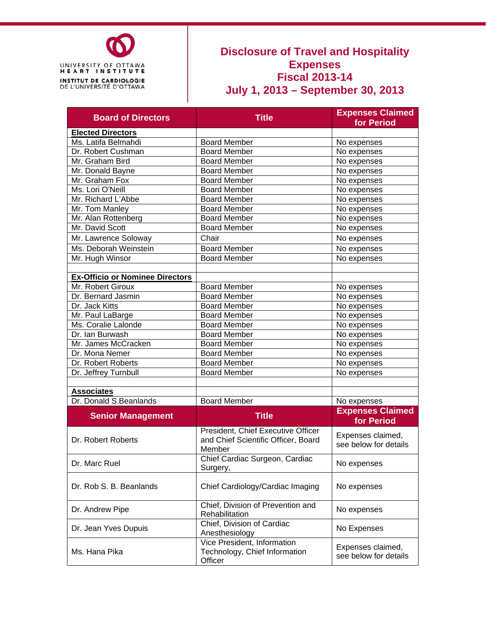

### **Disclosure of Travel and Hospitality Expenses Fiscal 2013-14 July 1, 2013 – September 30, 2013**

| <b>Board of Directors</b>                                   | <b>Title</b>                                                                        | <b>Expenses Claimed</b><br>for Period      |  |  |
|-------------------------------------------------------------|-------------------------------------------------------------------------------------|--------------------------------------------|--|--|
| <b>Elected Directors</b>                                    |                                                                                     |                                            |  |  |
| Ms. Latifa Belmahdi                                         | <b>Board Member</b>                                                                 | No expenses                                |  |  |
| Dr. Robert Cushman                                          | <b>Board Member</b>                                                                 | No expenses                                |  |  |
| Mr. Graham Bird                                             | <b>Board Member</b>                                                                 | No expenses                                |  |  |
| Mr. Donald Bayne                                            | <b>Board Member</b>                                                                 | No expenses                                |  |  |
| Mr. Graham Fox                                              | <b>Board Member</b>                                                                 | No expenses                                |  |  |
| Ms. Lori O'Neill                                            | <b>Board Member</b>                                                                 | No expenses                                |  |  |
| Mr. Richard L'Abbe                                          | <b>Board Member</b>                                                                 | No expenses                                |  |  |
| Mr. Tom Manley                                              | <b>Board Member</b>                                                                 | No expenses                                |  |  |
| Mr. Alan Rottenberg                                         | Board Member                                                                        | No expenses                                |  |  |
| Mr. David Scott                                             | <b>Board Member</b>                                                                 | No expenses                                |  |  |
| Mr. Lawrence Soloway                                        | Chair                                                                               | No expenses                                |  |  |
| Ms. Deborah Weinstein                                       | <b>Board Member</b>                                                                 | No expenses                                |  |  |
| Mr. Hugh Winsor                                             | <b>Board Member</b>                                                                 | No expenses                                |  |  |
|                                                             |                                                                                     |                                            |  |  |
| <b>Ex-Officio or Nominee Directors</b><br>Mr. Robert Giroux | <b>Board Member</b>                                                                 |                                            |  |  |
|                                                             | <b>Board Member</b>                                                                 | No expenses                                |  |  |
| Dr. Bernard Jasmin                                          | <b>Board Member</b>                                                                 | No expenses                                |  |  |
| Dr. Jack Kitts                                              | <b>Board Member</b>                                                                 | No expenses                                |  |  |
| Mr. Paul LaBarge                                            | <b>Board Member</b>                                                                 | No expenses                                |  |  |
| Ms. Coralie Lalonde                                         |                                                                                     | No expenses                                |  |  |
| Dr. Ian Burwash                                             | <b>Board Member</b>                                                                 | No expenses                                |  |  |
| Mr. James McCracken                                         | <b>Board Member</b>                                                                 | No expenses                                |  |  |
| Dr. Mona Nemer                                              | <b>Board Member</b>                                                                 | No expenses                                |  |  |
| Dr. Robert Roberts                                          | <b>Board Member</b>                                                                 | No expenses                                |  |  |
| Dr. Jeffrey Turnbull                                        | Board Member                                                                        | No expenses                                |  |  |
| <b>Associates</b>                                           |                                                                                     |                                            |  |  |
| Dr. Donald S.Beanlands                                      | <b>Board Member</b>                                                                 | No expenses                                |  |  |
|                                                             |                                                                                     | <b>Expenses Claimed</b>                    |  |  |
| <b>Senior Management</b>                                    | <b>Title</b>                                                                        | for Period                                 |  |  |
| Dr. Robert Roberts                                          | President, Chief Executive Officer<br>and Chief Scientific Officer, Board<br>Member | Expenses claimed,<br>see below for details |  |  |
| Dr. Marc Ruel                                               | Chief Cardiac Surgeon, Cardiac<br>Surgery,                                          | No expenses                                |  |  |
| Dr. Rob S. B. Beanlands                                     | Chief Cardiology/Cardiac Imaging                                                    | No expenses                                |  |  |
| Dr. Andrew Pipe                                             | Chief, Division of Prevention and<br>Rehabilitation                                 | No expenses                                |  |  |
| Dr. Jean Yves Dupuis                                        | Chief, Division of Cardiac<br>Anesthesiology                                        | No Expenses                                |  |  |
| Ms. Hana Pika                                               | Vice President, Information<br>Technology, Chief Information<br>Officer             | Expenses claimed,<br>see below for details |  |  |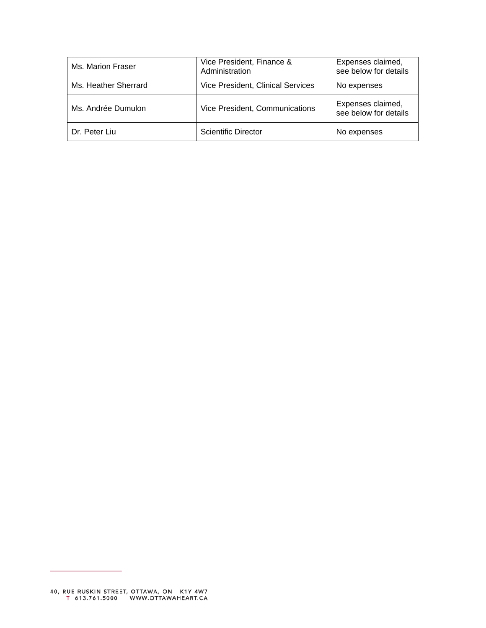| Ms. Marion Fraser    | Vice President, Finance &<br>Administration | Expenses claimed,<br>see below for details |
|----------------------|---------------------------------------------|--------------------------------------------|
| Ms. Heather Sherrard | Vice President, Clinical Services           | No expenses                                |
| Ms. Andrée Dumulon   | Vice President, Communications              | Expenses claimed,<br>see below for details |
| Dr. Peter Liu        | <b>Scientific Director</b>                  | No expenses                                |

÷.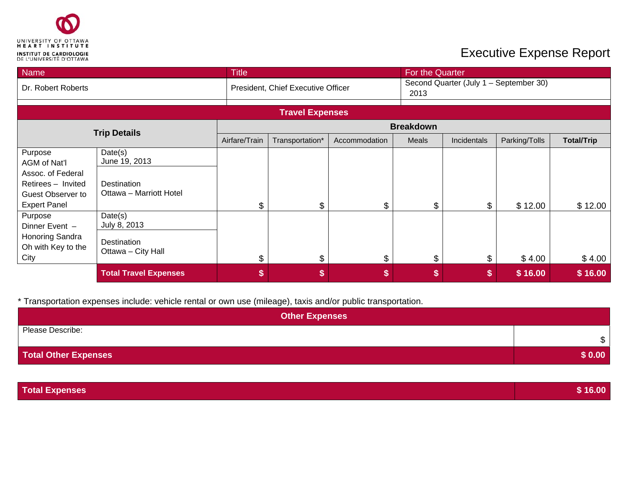

| <b>Name</b>                                                                                                                                 |                                                                                               | <b>Title</b>  |                                    |               | For the Quarter  |             |                                        |                   |
|---------------------------------------------------------------------------------------------------------------------------------------------|-----------------------------------------------------------------------------------------------|---------------|------------------------------------|---------------|------------------|-------------|----------------------------------------|-------------------|
| Dr. Robert Roberts                                                                                                                          |                                                                                               |               | President, Chief Executive Officer |               | 2013             |             | Second Quarter (July 1 - September 30) |                   |
|                                                                                                                                             |                                                                                               |               |                                    |               |                  |             |                                        |                   |
|                                                                                                                                             |                                                                                               |               | <b>Travel Expenses</b>             |               |                  |             |                                        |                   |
|                                                                                                                                             | <b>Trip Details</b>                                                                           |               |                                    |               | <b>Breakdown</b> |             |                                        |                   |
|                                                                                                                                             |                                                                                               | Airfare/Train | Transportation*                    | Accommodation | Meals            | Incidentals | Parking/Tolls                          | <b>Total/Trip</b> |
| Purpose<br>AGM of Nat'l<br>Assoc. of Federal<br>Retirees - Invited<br>Guest Observer to<br><b>Expert Panel</b><br>Purpose<br>Dinner Event - | Date(s)<br>June 19, 2013<br>Destination<br>Ottawa - Marriott Hotel<br>Date(s)<br>July 8, 2013 | \$            | \$                                 | \$            | \$               | \$.         | \$12.00                                | \$12.00           |
| Honoring Sandra<br>Oh with Key to the<br>City                                                                                               | Destination<br>Ottawa - City Hall                                                             | \$            | \$                                 | \$            | \$               | \$          | \$4.00                                 | \$4.00            |
|                                                                                                                                             | <b>Total Travel Expenses</b>                                                                  | \$            | \$                                 | \$            | \$               | S           | \$16.00                                | \$16.00           |

| <b>Other Expenses</b>       |        |
|-----------------------------|--------|
| Please Describe:            | \$     |
| <b>Total Other Expenses</b> | \$0.00 |

| <b>Total Expenses</b> | \$16.00 |
|-----------------------|---------|
|                       |         |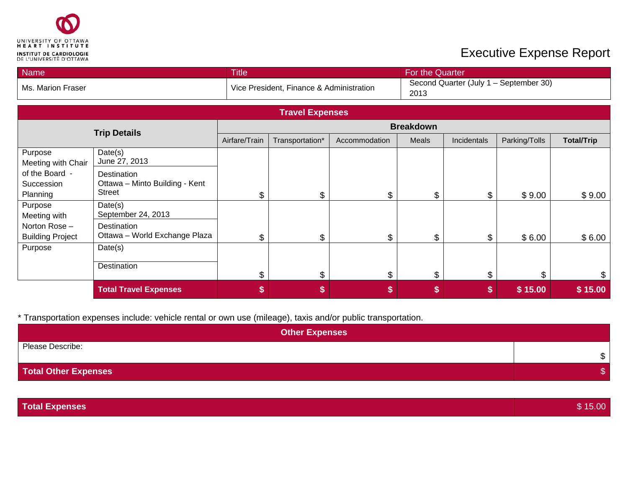

| <b>Name</b>                                                                                                     |                                                                | <b>Title</b>   |                        |                | For the Quarter |             |               |                   |
|-----------------------------------------------------------------------------------------------------------------|----------------------------------------------------------------|----------------|------------------------|----------------|-----------------|-------------|---------------|-------------------|
| Second Quarter (July 1 - September 30)<br>Vice President, Finance & Administration<br>Ms. Marion Fraser<br>2013 |                                                                |                |                        |                |                 |             |               |                   |
|                                                                                                                 |                                                                |                | <b>Travel Expenses</b> |                |                 |             |               |                   |
|                                                                                                                 | <b>Breakdown</b>                                               |                |                        |                |                 |             |               |                   |
|                                                                                                                 | <b>Trip Details</b>                                            | Airfare/Train  | Transportation*        | Accommodation  | Meals           | Incidentals | Parking/Tolls | <b>Total/Trip</b> |
| Purpose<br>Meeting with Chair                                                                                   | Date(s)<br>June 27, 2013                                       |                |                        |                |                 |             |               |                   |
| of the Board -<br>Succession<br>Planning                                                                        | Destination<br>Ottawa - Minto Building - Kent<br><b>Street</b> | \$             | \$                     | \$             | \$              | \$          | \$9.00        | \$9.00            |
| Purpose<br>Meeting with                                                                                         | Date(s)<br>September 24, 2013                                  |                |                        |                |                 |             |               |                   |
| Norton Rose-<br><b>Building Project</b>                                                                         | Destination<br>Ottawa - World Exchange Plaza                   | \$             | \$                     | $\mathfrak{S}$ | \$              | \$          | \$6.00        | \$6.00            |
| Purpose                                                                                                         | Date(s)                                                        |                |                        |                |                 |             |               |                   |
|                                                                                                                 | Destination                                                    | $\mathfrak{L}$ | \$                     | \$             | \$              | \$          | \$            | \$                |
|                                                                                                                 | <b>Total Travel Expenses</b>                                   | \$             | S                      | S              | \$              | \$          | \$15.00       | \$15.00           |

| <b>Other Expenses</b>       |                |
|-----------------------------|----------------|
| Please Describe:            | $\mathbb{S}^-$ |
| <b>Total Other Expenses</b> |                |

| Total Expenses<br>15.00 |
|-------------------------|
|-------------------------|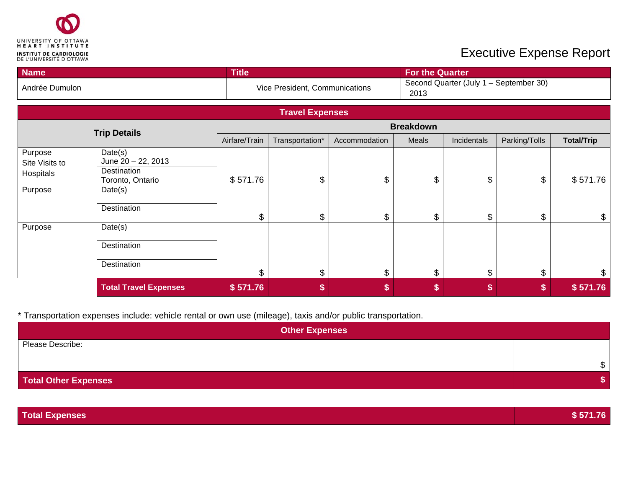

| <b>Name</b>                            |                                                                  | <b>Title</b>              |                                |               | <b>For the Quarter</b>                         |             |               |                   |
|----------------------------------------|------------------------------------------------------------------|---------------------------|--------------------------------|---------------|------------------------------------------------|-------------|---------------|-------------------|
| Andrée Dumulon                         |                                                                  |                           | Vice President, Communications |               | Second Quarter (July 1 - September 30)<br>2013 |             |               |                   |
|                                        |                                                                  |                           | <b>Travel Expenses</b>         |               |                                                |             |               |                   |
|                                        | <b>Trip Details</b>                                              |                           |                                |               | <b>Breakdown</b>                               |             |               |                   |
|                                        |                                                                  | Airfare/Train             | Transportation*                | Accommodation | Meals                                          | Incidentals | Parking/Tolls | <b>Total/Trip</b> |
| Purpose<br>Site Visits to<br>Hospitals | Date(s)<br>June 20 - 22, 2013<br>Destination<br>Toronto, Ontario | \$571.76                  | \$                             | \$            | \$                                             | \$          | \$            | \$571.76          |
| Purpose                                | Date(s)                                                          |                           |                                |               |                                                |             |               |                   |
| Destination                            | \$                                                               | $\boldsymbol{\mathsf{S}}$ | \$                             | \$            | \$                                             | \$          | \$            |                   |
| Purpose                                | Date(s)                                                          |                           |                                |               |                                                |             |               |                   |
| Destination<br>Destination             |                                                                  |                           |                                |               |                                                |             |               |                   |
|                                        |                                                                  | \$                        | $\$\$                          | \$            | \$                                             | \$          | \$            | \$                |
|                                        | <b>Total Travel Expenses</b>                                     | \$571.76                  | \$                             | \$            | \$                                             | \$          | \$            | \$571.76          |

| <b>Other Expenses</b> |   |
|-----------------------|---|
| Please Describe:      |   |
|                       | œ |
| Total Other Expenses  |   |

| <b>Total Expenses</b> | \$571.76 |
|-----------------------|----------|